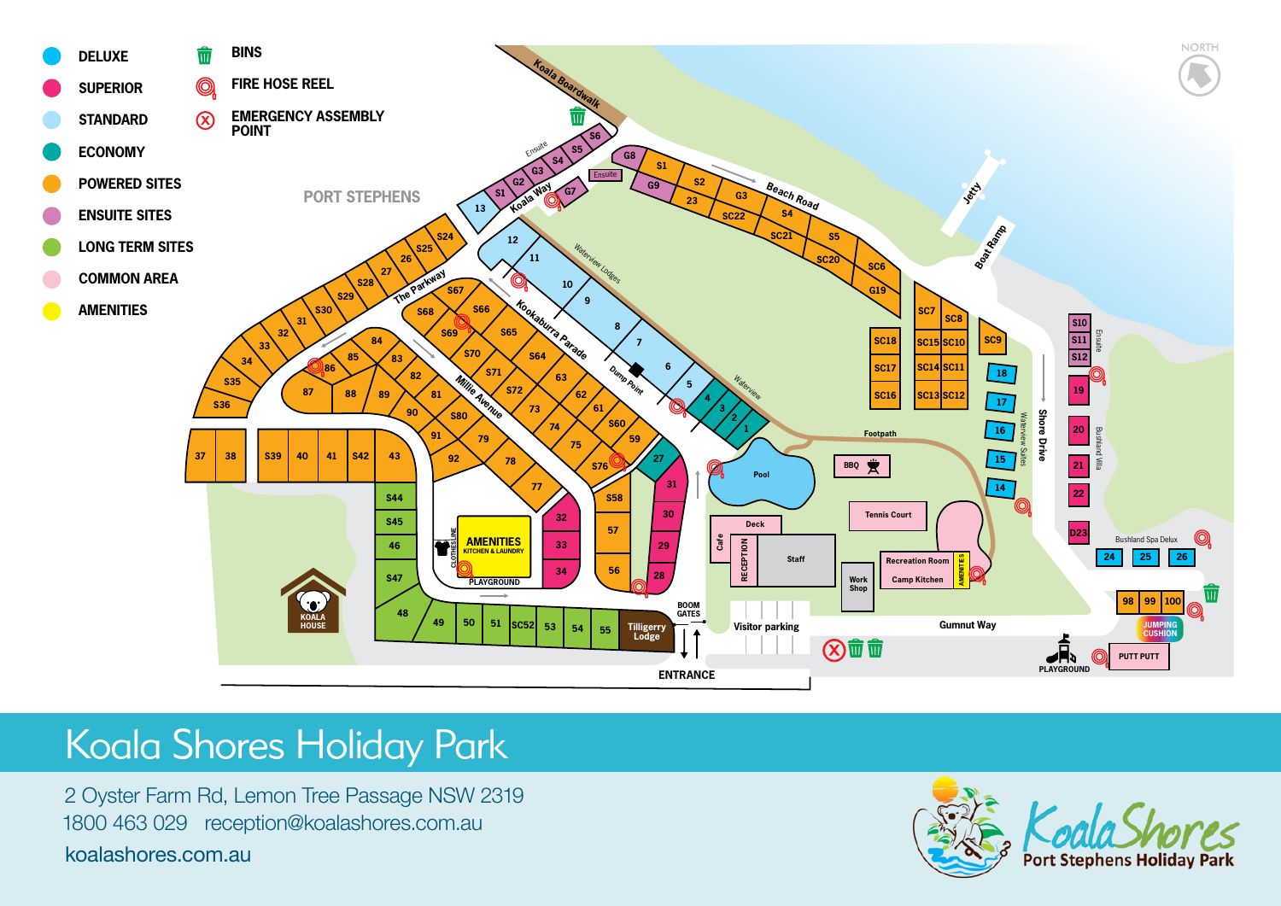

## Koala Shores Holiday Park

2 Oyster Farm Rd, Lemon Tree Passage NSW 2319 1800 463 029 reception@koalashores.com.au

koalashores.com.au